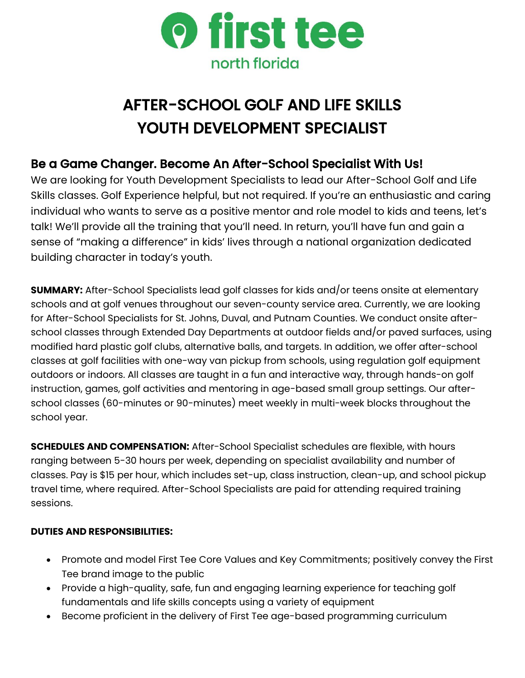

# AFTER-SCHOOL GOLF AND LIFE SKILLS YOUTH DEVELOPMENT SPECIALIST

# Be a Game Changer. Become An After-School Specialist With Us!

We are looking for Youth Development Specialists to lead our After-School Golf and Life Skills classes. Golf Experience helpful, but not required. If you're an enthusiastic and caring individual who wants to serve as a positive mentor and role model to kids and teens, let's talk! We'll provide all the training that you'll need. In return, you'll have fun and gain a sense of "making a difference" in kids' lives through a national organization dedicated building character in today's youth.

**SUMMARY:** After-School Specialists lead golf classes for kids and/or teens onsite at elementary schools and at golf venues throughout our seven-county service area. Currently, we are looking for After-School Specialists for St. Johns, Duval, and Putnam Counties. We conduct onsite afterschool classes through Extended Day Departments at outdoor fields and/or paved surfaces, using modified hard plastic golf clubs, alternative balls, and targets. In addition, we offer after-school classes at golf facilities with one-way van pickup from schools, using regulation golf equipment outdoors or indoors. All classes are taught in a fun and interactive way, through hands-on golf instruction, games, golf activities and mentoring in age-based small group settings. Our afterschool classes (60-minutes or 90-minutes) meet weekly in multi-week blocks throughout the school year.

**SCHEDULES AND COMPENSATION:** After-School Specialist schedules are flexible, with hours ranging between 5-30 hours per week, depending on specialist availability and number of classes. Pay is \$15 per hour, which includes set-up, class instruction, clean-up, and school pickup travel time, where required. After-School Specialists are paid for attending required training sessions.

## **DUTIES AND RESPONSIBILITIES:**

- Promote and model First Tee Core Values and Key Commitments; positively convey the First Tee brand image to the public
- Provide a high-quality, safe, fun and engaging learning experience for teaching golf fundamentals and life skills concepts using a variety of equipment
- Become proficient in the delivery of First Tee age-based programming curriculum